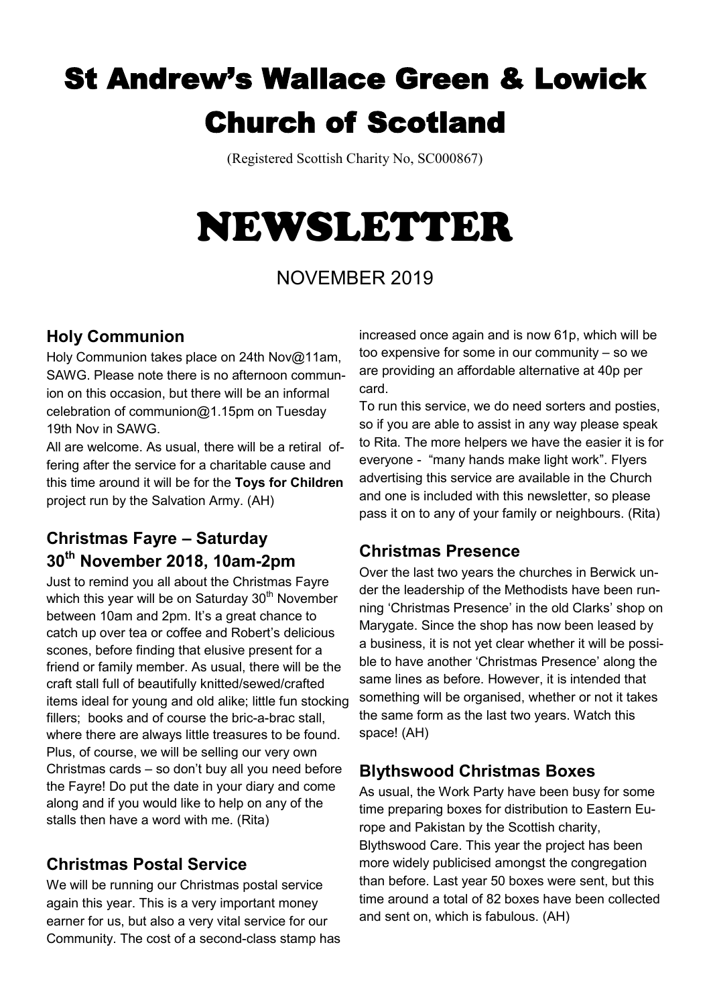## St Andrew's Wallace Green & Lowick Church of Scotland

(Registered Scottish Charity No, SC000867)

# NEWSLETTER

## NOVEMBER 2019

#### **Holy Communion**

Holy Communion takes place on 24th Nov@11am, SAWG. Please note there is no afternoon communion on this occasion, but there will be an informal celebration of communion@1.15pm on Tuesday 19th Nov in SAWG.

All are welcome. As usual, there will be a retiral offering after the service for a charitable cause and this time around it will be for the **Toys for Children**  project run by the Salvation Army. (AH)

## **Christmas Fayre – Saturday 30th November 2018, 10am-2pm**

Just to remind you all about the Christmas Fayre which this year will be on Saturday  $30<sup>th</sup>$  November between 10am and 2pm. It's a great chance to catch up over tea or coffee and Robert's delicious scones, before finding that elusive present for a friend or family member. As usual, there will be the craft stall full of beautifully knitted/sewed/crafted items ideal for young and old alike; little fun stocking fillers; books and of course the bric-a-brac stall, where there are always little treasures to be found. Plus, of course, we will be selling our very own Christmas cards – so don't buy all you need before the Fayre! Do put the date in your diary and come along and if you would like to help on any of the stalls then have a word with me. (Rita)

## **Christmas Postal Service**

We will be running our Christmas postal service again this year. This is a very important money earner for us, but also a very vital service for our Community. The cost of a second-class stamp has

increased once again and is now 61p, which will be too expensive for some in our community – so we are providing an affordable alternative at 40p per card.

To run this service, we do need sorters and posties, so if you are able to assist in any way please speak to Rita. The more helpers we have the easier it is for everyone - "many hands make light work". Flyers advertising this service are available in the Church and one is included with this newsletter, so please pass it on to any of your family or neighbours. (Rita)

#### **Christmas Presence**

Over the last two years the churches in Berwick under the leadership of the Methodists have been running 'Christmas Presence' in the old Clarks' shop on Marygate. Since the shop has now been leased by a business, it is not yet clear whether it will be possible to have another 'Christmas Presence' along the same lines as before. However, it is intended that something will be organised, whether or not it takes the same form as the last two years. Watch this space! (AH)

## **Blythswood Christmas Boxes**

As usual, the Work Party have been busy for some time preparing boxes for distribution to Eastern Europe and Pakistan by the Scottish charity, Blythswood Care. This year the project has been more widely publicised amongst the congregation than before. Last year 50 boxes were sent, but this time around a total of 82 boxes have been collected and sent on, which is fabulous. (AH)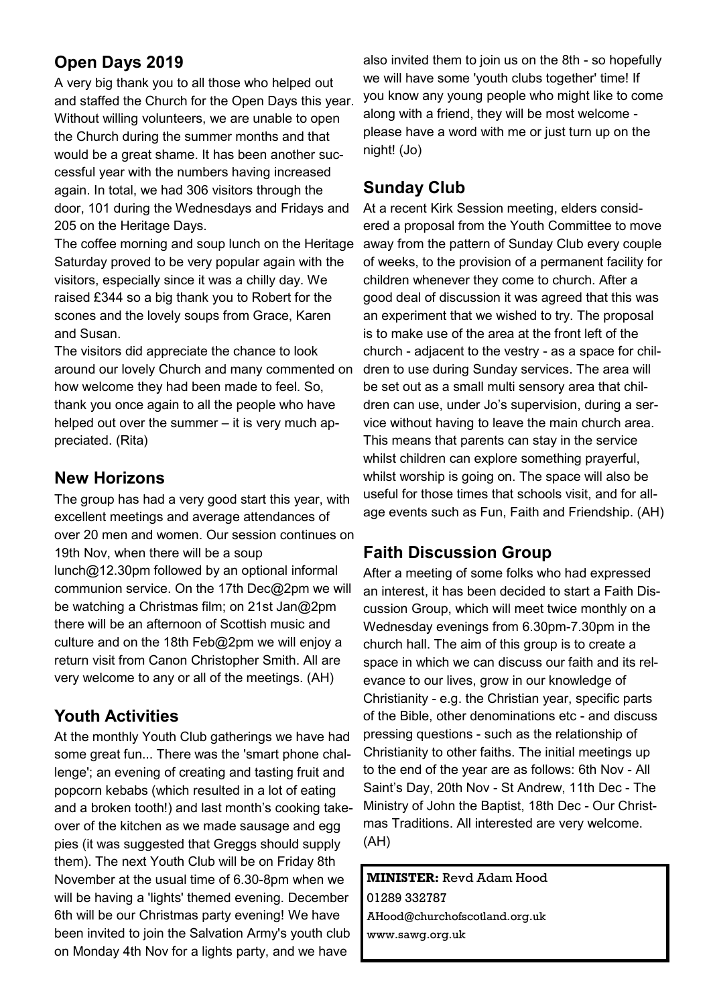## **Open Days 2019**

A very big thank you to all those who helped out and staffed the Church for the Open Days this year. Without willing volunteers, we are unable to open the Church during the summer months and that would be a great shame. It has been another successful year with the numbers having increased again. In total, we had 306 visitors through the door, 101 during the Wednesdays and Fridays and 205 on the Heritage Days.

The coffee morning and soup lunch on the Heritage Saturday proved to be very popular again with the visitors, especially since it was a chilly day. We raised £344 so a big thank you to Robert for the scones and the lovely soups from Grace, Karen and Susan.

The visitors did appreciate the chance to look around our lovely Church and many commented on how welcome they had been made to feel. So, thank you once again to all the people who have helped out over the summer – it is very much appreciated. (Rita)

#### **New Horizons**

The group has had a very good start this year, with excellent meetings and average attendances of over 20 men and women. Our session continues on 19th Nov, when there will be a soup lunch@12.30pm followed by an optional informal communion service. On the 17th Dec@2pm we will be watching a Christmas film; on 21st Jan@2pm there will be an afternoon of Scottish music and culture and on the 18th Feb@2pm we will enjoy a return visit from Canon Christopher Smith. All are very welcome to any or all of the meetings. (AH)

#### **Youth Activities**

At the monthly Youth Club gatherings we have had some great fun... There was the 'smart phone challenge'; an evening of creating and tasting fruit and popcorn kebabs (which resulted in a lot of eating and a broken tooth!) and last month's cooking takeover of the kitchen as we made sausage and egg pies (it was suggested that Greggs should supply them). The next Youth Club will be on Friday 8th November at the usual time of 6.30-8pm when we will be having a 'lights' themed evening. December 6th will be our Christmas party evening! We have been invited to join the Salvation Army's youth club on Monday 4th Nov for a lights party, and we have

also invited them to join us on the 8th - so hopefully we will have some 'youth clubs together' time! If you know any young people who might like to come along with a friend, they will be most welcome please have a word with me or just turn up on the night! (Jo)

#### **Sunday Club**

At a recent Kirk Session meeting, elders considered a proposal from the Youth Committee to move away from the pattern of Sunday Club every couple of weeks, to the provision of a permanent facility for children whenever they come to church. After a good deal of discussion it was agreed that this was an experiment that we wished to try. The proposal is to make use of the area at the front left of the church - adjacent to the vestry - as a space for children to use during Sunday services. The area will be set out as a small multi sensory area that children can use, under Jo's supervision, during a service without having to leave the main church area. This means that parents can stay in the service whilst children can explore something prayerful, whilst worship is going on. The space will also be useful for those times that schools visit, and for allage events such as Fun, Faith and Friendship. (AH)

#### **Faith Discussion Group**

After a meeting of some folks who had expressed an interest, it has been decided to start a Faith Discussion Group, which will meet twice monthly on a Wednesday evenings from 6.30pm-7.30pm in the church hall. The aim of this group is to create a space in which we can discuss our faith and its relevance to our lives, grow in our knowledge of Christianity - e.g. the Christian year, specific parts of the Bible, other denominations etc - and discuss pressing questions - such as the relationship of Christianity to other faiths. The initial meetings up to the end of the year are as follows: 6th Nov - All Saint's Day, 20th Nov - St Andrew, 11th Dec - The Ministry of John the Baptist, 18th Dec - Our Christmas Traditions. All interested are very welcome. (AH)

**MINISTER:** Revd Adam Hood 01289 332787 AHood@churchofscotland.org.uk www.sawg.org.uk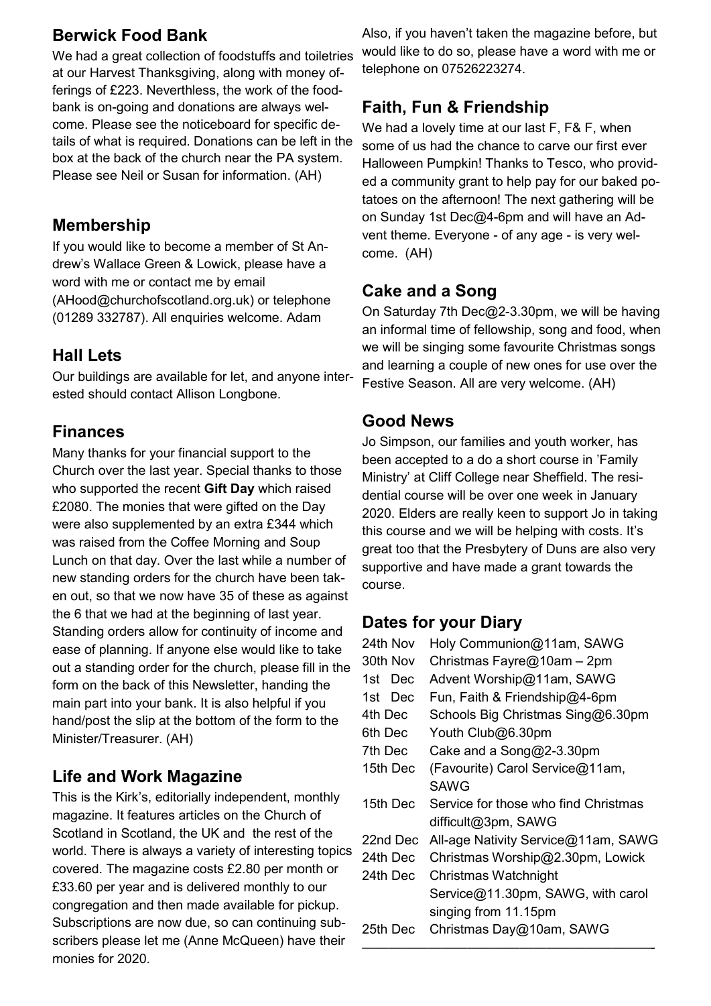#### **Berwick Food Bank**

We had a great collection of foodstuffs and toiletries at our Harvest Thanksgiving, along with money offerings of £223. Neverthless, the work of the foodbank is on-going and donations are always welcome. Please see the noticeboard for specific details of what is required. Donations can be left in the box at the back of the church near the PA system. Please see Neil or Susan for information. (AH)

#### **Membership**

If you would like to become a member of St Andrew's Wallace Green & Lowick, please have a word with me or contact me by email (AHood@churchofscotland.org.uk) or telephone (01289 332787). All enquiries welcome. Adam

#### **Hall Lets**

Our buildings are available for let, and anyone interested should contact Allison Longbone.

#### **Finances**

Many thanks for your financial support to the Church over the last year. Special thanks to those who supported the recent **Gift Day** which raised £2080. The monies that were gifted on the Day were also supplemented by an extra £344 which was raised from the Coffee Morning and Soup Lunch on that day. Over the last while a number of new standing orders for the church have been taken out, so that we now have 35 of these as against the 6 that we had at the beginning of last year. Standing orders allow for continuity of income and ease of planning. If anyone else would like to take out a standing order for the church, please fill in the form on the back of this Newsletter, handing the main part into your bank. It is also helpful if you hand/post the slip at the bottom of the form to the Minister/Treasurer. (AH)

#### **Life and Work Magazine**

This is the Kirk's, editorially independent, monthly magazine. It features articles on the Church of Scotland in Scotland, the UK and the rest of the world. There is always a variety of interesting topics covered. The magazine costs £2.80 per month or £33.60 per year and is delivered monthly to our congregation and then made available for pickup. Subscriptions are now due, so can continuing subscribers please let me (Anne McQueen) have their monies for 2020.

Also, if you haven't taken the magazine before, but would like to do so, please have a word with me or telephone on 07526223274.

## **Faith, Fun & Friendship**

We had a lovely time at our last F, F& F, when some of us had the chance to carve our first ever Halloween Pumpkin! Thanks to Tesco, who provided a community grant to help pay for our baked potatoes on the afternoon! The next gathering will be on Sunday 1st Dec@4-6pm and will have an Advent theme. Everyone - of any age - is very welcome. (AH)

## **Cake and a Song**

On Saturday 7th Dec@2-3.30pm, we will be having an informal time of fellowship, song and food, when we will be singing some favourite Christmas songs and learning a couple of new ones for use over the Festive Season. All are very welcome. (AH)

#### **Good News**

Jo Simpson, our families and youth worker, has been accepted to a do a short course in 'Family Ministry' at Cliff College near Sheffield. The residential course will be over one week in January 2020. Elders are really keen to support Jo in taking this course and we will be helping with costs. It's great too that the Presbytery of Duns are also very supportive and have made a grant towards the course.

#### **Dates for your Diary**

| 24th Nov | Holy Communion@11am, SAWG            |
|----------|--------------------------------------|
| 30th Nov | Christmas Fayre@10am - 2pm           |
| 1st Dec  | Advent Worship@11am, SAWG            |
| 1st Dec  | Fun, Faith & Friendship@4-6pm        |
| 4th Dec  | Schools Big Christmas Sing@6.30pm    |
| 6th Dec  | Youth Club@6.30pm                    |
| 7th Dec  | Cake and a Song@2-3.30pm             |
| 15th Dec | (Favourite) Carol Service@11am,      |
|          | <b>SAWG</b>                          |
| 15th Dec | Service for those who find Christmas |
|          | difficult@3pm, SAWG                  |
| 22nd Dec | All-age Nativity Service@11am, SAWG  |
| 24th Dec | Christmas Worship@2.30pm, Lowick     |
| 24th Dec | Christmas Watchnight                 |
|          | Service@11.30pm, SAWG, with carol    |
|          | singing from 11.15pm                 |
| 25th Dec | Christmas Day@10am, SAWG             |
|          |                                      |

——————————————————————-